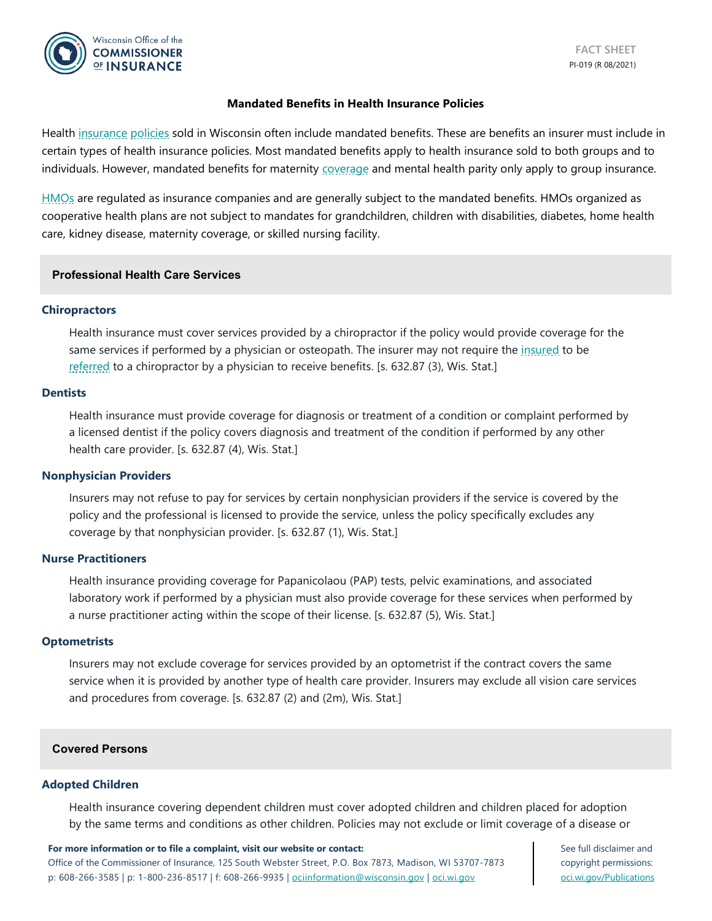

#### **Mandated Benefits in Health Insurance Policies**

Health [insurance](https://oci.wi.gov/Pages/Consumers/Glossary.aspx#insurance) [policies](https://oci.wi.gov/Pages/Consumers/Glossary.aspx#policy) sold in Wisconsin often include mandated benefits. These are benefits an insurer must include in certain types of health insurance policies. Most mandated benefits apply to health insurance sold to both groups and to individuals. However, mandated benefits for maternity [coverage](https://oci.wi.gov/Pages/Consumers/Glossary.aspx#coverage) and mental health parity only apply to group insurance.

[HMOs](https://oci.wi.gov/Pages/Consumers/Glossary.aspx#HMO) are regulated as insurance companies and are generally subject to the mandated benefits. HMOs organized as cooperative health plans are not subject to mandates for grandchildren, children with disabilities, diabetes, home health care, kidney disease, maternity coverage, or skilled nursing facility.

### **Professional Health Care Services**

#### **Chiropractors**

Health insurance must cover services provided by a chiropractor if the policy would provide coverage for the same services if performed by a physician or osteopath. The insurer may not require the [insured](https://oci.wi.gov/Pages/Consumers/Glossary.aspx#insured) to be [referred](https://oci.wi.gov/Pages/Consumers/Glossary.aspx#referral) to a chiropractor by a physician to receive benefits. [s. 632.87 (3), Wis. Stat.]

#### **Dentists**

Health insurance must provide coverage for diagnosis or treatment of a condition or complaint performed by a licensed dentist if the policy covers diagnosis and treatment of the condition if performed by any other health care provider. [s. 632.87 (4), Wis. Stat.]

#### **Nonphysician Providers**

Insurers may not refuse to pay for services by certain nonphysician providers if the service is covered by the policy and the professional is licensed to provide the service, unless the policy specifically excludes any coverage by that nonphysician provider. [s. 632.87 (1), Wis. Stat.]

#### **Nurse Practitioners**

Health insurance providing coverage for Papanicolaou (PAP) tests, pelvic examinations, and associated laboratory work if performed by a physician must also provide coverage for these services when performed by a nurse practitioner acting within the scope of their license. [s. 632.87 (5), Wis. Stat.]

#### **Optometrists**

Insurers may not exclude coverage for services provided by an optometrist if the contract covers the same service when it is provided by another type of health care provider. Insurers may exclude all vision care services and procedures from coverage. [s. 632.87 (2) and (2m), Wis. Stat.]

#### **Covered Persons**

#### **Adopted Children**

Health insurance covering dependent children must cover adopted children and children placed for adoption by the same terms and conditions as other children. Policies may not exclude or limit coverage of a disease or

#### **For more information or to file a complaint, visit our website or contact:**

Office of the Commissioner of Insurance, 125 South Webster Street, P.O. Box 7873, Madison, WI 53707-7873 p: 608-266-3585 | p: 1-800-236-8517 | f: 608-266-9935 | [ociinformation@wisconsin.gov](mailto:ociinformation@wisconsin.gov) | [oci.wi.gov](http://www.oci.wi.gov/)

See full disclaimer and copyright permissions: [oci.wi.gov/Publications](https://oci.wi.gov/Pages/Consumers/ConsumerPublications.aspx)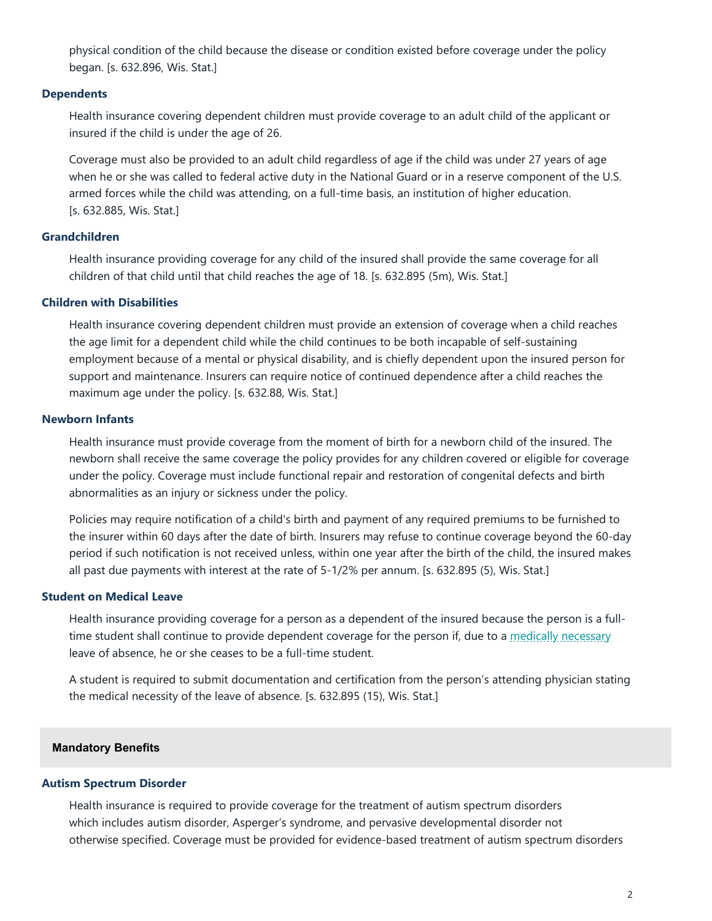physical condition of the child because the disease or condition existed before coverage under the policy began. [s. 632.896, Wis. Stat.]

### **Dependents**

Health insurance covering dependent children must provide coverage to an adult child of the applicant or insured if the child is under the age of 26.

Coverage must also be provided to an adult child regardless of age if the child was under 27 years of age when he or she was called to federal active duty in the National Guard or in a reserve component of the U.S. armed forces while the child was attending, on a full-time basis, an institution of higher education. [s. 632.885, Wis. Stat.]

# **Grandchildren**

Health insurance providing coverage for any child of the insured shall provide the same coverage for all children of that child until that child reaches the age of 18. [s. 632.895 (5m), Wis. Stat.]

## **Children with Disabilities**

Health insurance covering dependent children must provide an extension of coverage when a child reaches the age limit for a dependent child while the child continues to be both incapable of self-sustaining employment because of a mental or physical disability, and is chiefly dependent upon the insured person for support and maintenance. Insurers can require notice of continued dependence after a child reaches the maximum age under the policy. [s. 632.88, Wis. Stat.]

## **Newborn Infants**

Health insurance must provide coverage from the moment of birth for a newborn child of the insured. The newborn shall receive the same coverage the policy provides for any children covered or eligible for coverage under the policy. Coverage must include functional repair and restoration of congenital defects and birth abnormalities as an injury or sickness under the policy.

Policies may require notification of a child's birth and payment of any required premiums to be furnished to the insurer within 60 days after the date of birth. Insurers may refuse to continue coverage beyond the 60-day period if such notification is not received unless, within one year after the birth of the child, the insured makes all past due payments with interest at the rate of 5-1/2% per annum. [s. 632.895 (5), Wis. Stat.]

## **Student on Medical Leave**

Health insurance providing coverage for a person as a dependent of the insured because the person is a fulltime student shall continue to provide dependent coverage for the person if, due to a [medically necessary](https://oci.wi.gov/Pages/Consumers/Glossary.aspx#medicallynecessary) leave of absence, he or she ceases to be a full-time student.

A student is required to submit documentation and certification from the person's attending physician stating the medical necessity of the leave of absence. [s. 632.895 (15), Wis. Stat.]

## **Mandatory Benefits**

## **Autism Spectrum Disorder**

Health insurance is required to provide coverage for the treatment of autism spectrum disorders which includes autism disorder, Asperger's syndrome, and pervasive developmental disorder not otherwise specified. Coverage must be provided for evidence-based treatment of autism spectrum disorders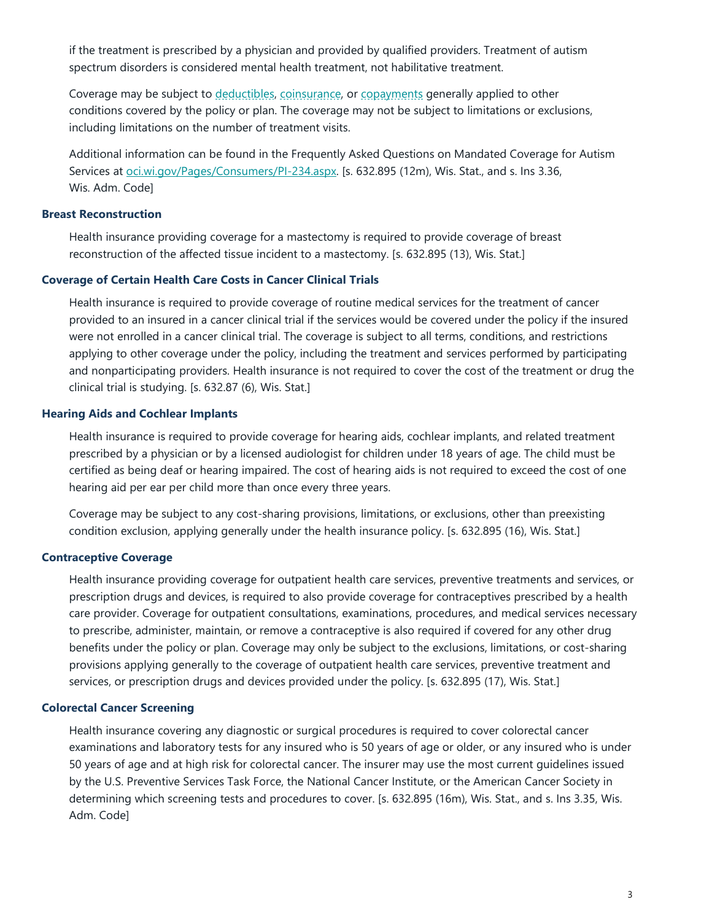if the treatment is prescribed by a physician and provided by qualified providers. Treatment of autism spectrum disorders is considered mental health treatment, not habilitative treatment.

Coverage may be subject to [deductibles,](https://oci.wi.gov/Pages/Consumers/Glossary.aspx#deductible) [coinsurance,](https://oci.wi.gov/Pages/Consumers/Glossary.aspx#coinsurance) or [copayments](https://oci.wi.gov/Pages/Consumers/Glossary.aspx#copayment) generally applied to other conditions covered by the policy or plan. The coverage may not be subject to limitations or exclusions, including limitations on the number of treatment visits.

Additional information can be found in the Frequently Asked Questions on Mandated Coverage for Autism Services at [oci.wi.gov/Pages/Consumers/PI-234.aspx.](https://oci.wi.gov/Pages/Consumers/PI-234.aspx) [s. 632.895 (12m), Wis. Stat., and s. Ins 3.36, Wis. Adm. Code]

### **Breast Reconstruction**

Health insurance providing coverage for a mastectomy is required to provide coverage of breast reconstruction of the affected tissue incident to a mastectomy. [s. 632.895 (13), Wis. Stat.]

#### **Coverage of Certain Health Care Costs in Cancer Clinical Trials**

Health insurance is required to provide coverage of routine medical services for the treatment of cancer provided to an insured in a cancer clinical trial if the services would be covered under the policy if the insured were not enrolled in a cancer clinical trial. The coverage is subject to all terms, conditions, and restrictions applying to other coverage under the policy, including the treatment and services performed by participating and nonparticipating providers. Health insurance is not required to cover the cost of the treatment or drug the clinical trial is studying. [s. 632.87 (6), Wis. Stat.]

#### **Hearing Aids and Cochlear Implants**

Health insurance is required to provide coverage for hearing aids, cochlear implants, and related treatment prescribed by a physician or by a licensed audiologist for children under 18 years of age. The child must be certified as being deaf or hearing impaired. The cost of hearing aids is not required to exceed the cost of one hearing aid per ear per child more than once every three years.

Coverage may be subject to any cost-sharing provisions, limitations, or exclusions, other than preexisting condition exclusion, applying generally under the health insurance policy. [s. 632.895 (16), Wis. Stat.]

## **Contraceptive Coverage**

Health insurance providing coverage for outpatient health care services, preventive treatments and services, or prescription drugs and devices, is required to also provide coverage for contraceptives prescribed by a health care provider. Coverage for outpatient consultations, examinations, procedures, and medical services necessary to prescribe, administer, maintain, or remove a contraceptive is also required if covered for any other drug benefits under the policy or plan. Coverage may only be subject to the exclusions, limitations, or cost-sharing provisions applying generally to the coverage of outpatient health care services, preventive treatment and services, or prescription drugs and devices provided under the policy. [s. 632.895 (17), Wis. Stat.]

#### **Colorectal Cancer Screening**

Health insurance covering any diagnostic or surgical procedures is required to cover colorectal cancer examinations and laboratory tests for any insured who is 50 years of age or older, or any insured who is under 50 years of age and at high risk for colorectal cancer. The insurer may use the most current guidelines issued by the U.S. Preventive Services Task Force, the National Cancer Institute, or the American Cancer Society in determining which screening tests and procedures to cover. [s. 632.895 (16m), Wis. Stat., and s. Ins 3.35, Wis. Adm. Code]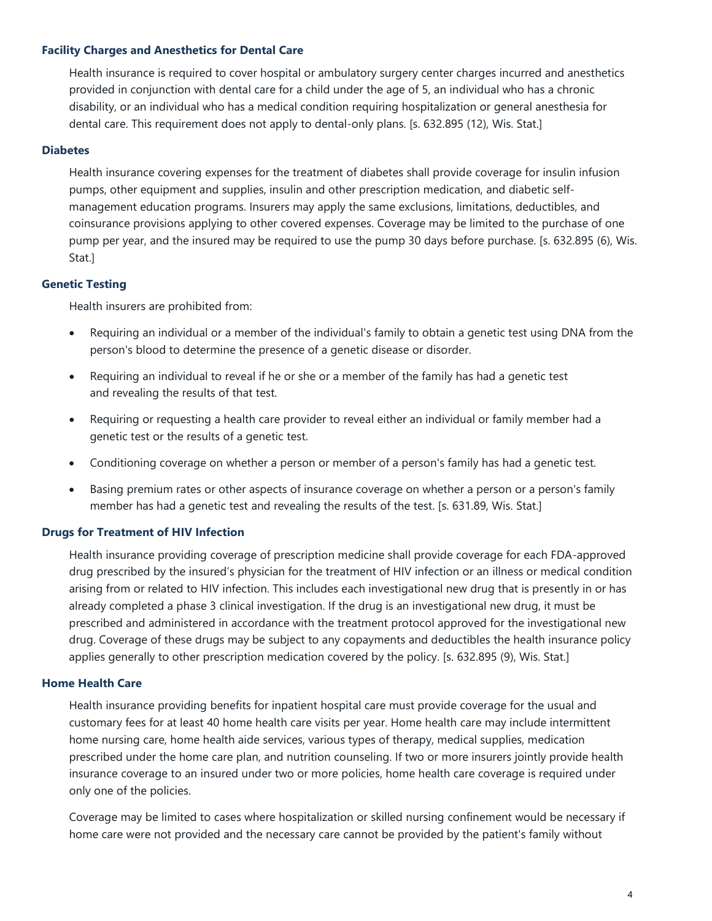### **Facility Charges and Anesthetics for Dental Care**

Health insurance is required to cover hospital or ambulatory surgery center charges incurred and anesthetics provided in conjunction with dental care for a child under the age of 5, an individual who has a chronic disability, or an individual who has a medical condition requiring hospitalization or general anesthesia for dental care. This requirement does not apply to dental-only plans. [s. 632.895 (12), Wis. Stat.]

### **Diabetes**

Health insurance covering expenses for the treatment of diabetes shall provide coverage for insulin infusion pumps, other equipment and supplies, insulin and other prescription medication, and diabetic selfmanagement education programs. Insurers may apply the same exclusions, limitations, deductibles, and coinsurance provisions applying to other covered expenses. Coverage may be limited to the purchase of one pump per year, and the insured may be required to use the pump 30 days before purchase. [s. 632.895 (6), Wis. Stat.]

### **Genetic Testing**

Health insurers are prohibited from:

- Requiring an individual or a member of the individual's family to obtain a genetic test using DNA from the person's blood to determine the presence of a genetic disease or disorder.
- Requiring an individual to reveal if he or she or a member of the family has had a genetic test and revealing the results of that test.
- Requiring or requesting a health care provider to reveal either an individual or family member had a genetic test or the results of a genetic test.
- Conditioning coverage on whether a person or member of a person's family has had a genetic test.
- Basing premium rates or other aspects of insurance coverage on whether a person or a person's family member has had a genetic test and revealing the results of the test. [s. 631.89, Wis. Stat.]

#### **Drugs for Treatment of HIV Infection**

Health insurance providing coverage of prescription medicine shall provide coverage for each FDA-approved drug prescribed by the insured's physician for the treatment of HIV infection or an illness or medical condition arising from or related to HIV infection. This includes each investigational new drug that is presently in or has already completed a phase 3 clinical investigation. If the drug is an investigational new drug, it must be prescribed and administered in accordance with the treatment protocol approved for the investigational new drug. Coverage of these drugs may be subject to any copayments and deductibles the health insurance policy applies generally to other prescription medication covered by the policy. [s. 632.895 (9), Wis. Stat.]

#### **Home Health Care**

Health insurance providing benefits for inpatient hospital care must provide coverage for the usual and customary fees for at least 40 home health care visits per year. Home health care may include intermittent home nursing care, home health aide services, various types of therapy, medical supplies, medication prescribed under the home care plan, and nutrition counseling. If two or more insurers jointly provide health insurance coverage to an insured under two or more policies, home health care coverage is required under only one of the policies.

Coverage may be limited to cases where hospitalization or skilled nursing confinement would be necessary if home care were not provided and the necessary care cannot be provided by the patient's family without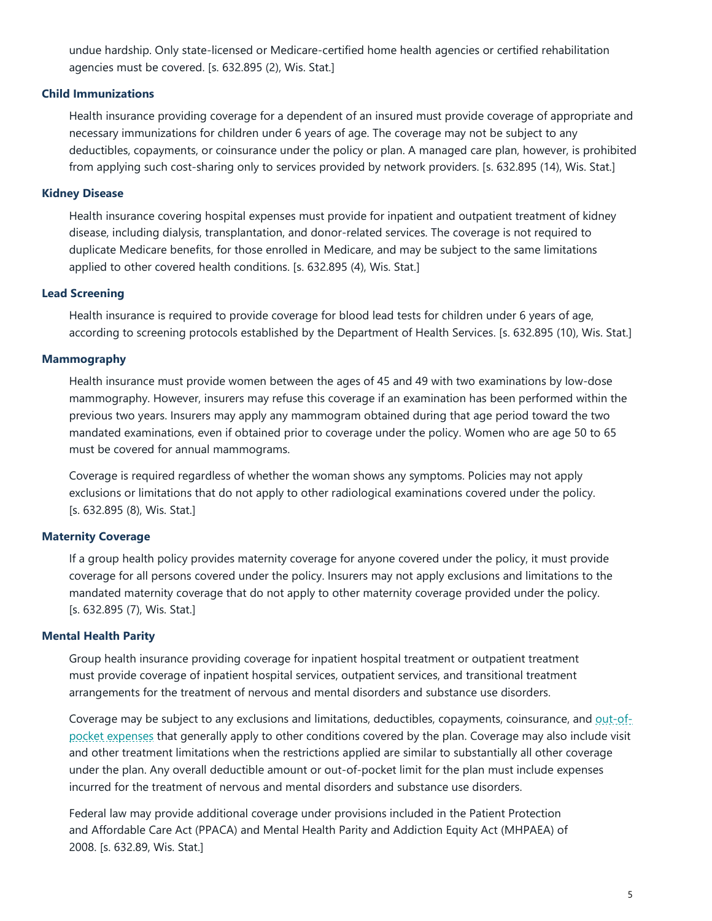undue hardship. Only state-licensed or Medicare-certified home health agencies or certified rehabilitation agencies must be covered. [s. 632.895 (2), Wis. Stat.]

### **Child Immunizations**

Health insurance providing coverage for a dependent of an insured must provide coverage of appropriate and necessary immunizations for children under 6 years of age. The coverage may not be subject to any deductibles, copayments, or coinsurance under the policy or plan. A managed care plan, however, is prohibited from applying such cost-sharing only to services provided by network providers. [s. 632.895 (14), Wis. Stat.]

### **Kidney Disease**

Health insurance covering hospital expenses must provide for inpatient and outpatient treatment of kidney disease, including dialysis, transplantation, and donor-related services. The coverage is not required to duplicate Medicare benefits, for those enrolled in Medicare, and may be subject to the same limitations applied to other covered health conditions. [s. 632.895 (4), Wis. Stat.]

### **Lead Screening**

Health insurance is required to provide coverage for blood lead tests for children under 6 years of age, according to screening protocols established by the Department of Health Services. [s. 632.895 (10), Wis. Stat.]

### **Mammography**

Health insurance must provide women between the ages of 45 and 49 with two examinations by low-dose mammography. However, insurers may refuse this coverage if an examination has been performed within the previous two years. Insurers may apply any mammogram obtained during that age period toward the two mandated examinations, even if obtained prior to coverage under the policy. Women who are age 50 to 65 must be covered for annual mammograms.

Coverage is required regardless of whether the woman shows any symptoms. Policies may not apply exclusions or limitations that do not apply to other radiological examinations covered under the policy. [s. 632.895 (8), Wis. Stat.]

## **Maternity Coverage**

If a group health policy provides maternity coverage for anyone covered under the policy, it must provide coverage for all persons covered under the policy. Insurers may not apply exclusions and limitations to the mandated maternity coverage that do not apply to other maternity coverage provided under the policy. [s. 632.895 (7), Wis. Stat.]

### **Mental Health Parity**

Group health insurance providing coverage for inpatient hospital treatment or outpatient treatment must provide coverage of inpatient hospital services, outpatient services, and transitional treatment arrangements for the treatment of nervous and mental disorders and substance use disorders.

Coverage may be subject to any exclusions and limitations, deductibles, copayments, coinsurance, and [out-of](https://oci.wi.gov/Pages/Consumers/Glossary.aspx#outofpocketexpenses)[pocket expenses](https://oci.wi.gov/Pages/Consumers/Glossary.aspx#outofpocketexpenses) that generally apply to other conditions covered by the plan. Coverage may also include visit and other treatment limitations when the restrictions applied are similar to substantially all other coverage under the plan. Any overall deductible amount or out-of-pocket limit for the plan must include expenses incurred for the treatment of nervous and mental disorders and substance use disorders.

Federal law may provide additional coverage under provisions included in the Patient Protection and Affordable Care Act (PPACA) and Mental Health Parity and Addiction Equity Act (MHPAEA) of 2008. [s. 632.89, Wis. Stat.]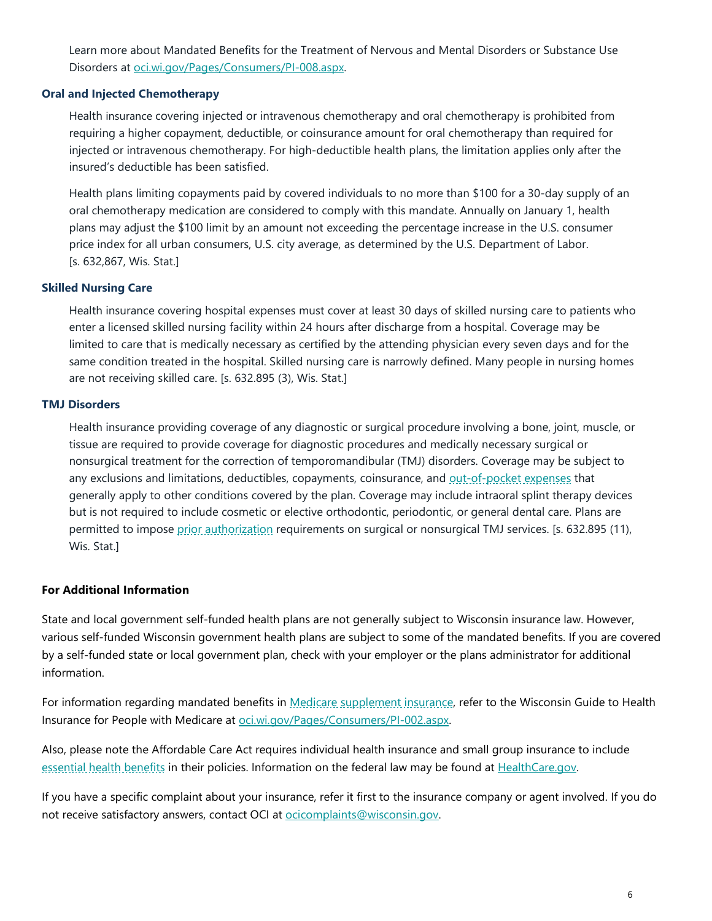Learn more about Mandated Benefits for the Treatment of Nervous and Mental Disorders or Substance Use Disorders at [oci.wi.gov/Pages/Consumers/PI-008.aspx.](https://oci.wi.gov/Pages/Consumers/PI-008.aspx)

## **Oral and Injected Chemotherapy**

Health insurance covering injected or intravenous chemotherapy and oral chemotherapy is prohibited from requiring a higher copayment, deductible, or coinsurance amount for oral chemotherapy than required for injected or intravenous chemotherapy. For high-deductible health plans, the limitation applies only after the insured's deductible has been satisfied.

Health plans limiting copayments paid by covered individuals to no more than \$100 for a 30-day supply of an oral chemotherapy medication are considered to comply with this mandate. Annually on January 1, health plans may adjust the \$100 limit by an amount not exceeding the percentage increase in the U.S. consumer price index for all urban consumers, U.S. city average, as determined by the U.S. Department of Labor. [s. 632,867, Wis. Stat.]

## **Skilled Nursing Care**

Health insurance covering hospital expenses must cover at least 30 days of skilled nursing care to patients who enter a licensed skilled nursing facility within 24 hours after discharge from a hospital. Coverage may be limited to care that is medically necessary as certified by the attending physician every seven days and for the same condition treated in the hospital. Skilled nursing care is narrowly defined. Many people in nursing homes are not receiving skilled care. [s. 632.895 (3), Wis. Stat.]

## **TMJ Disorders**

Health insurance providing coverage of any diagnostic or surgical procedure involving a bone, joint, muscle, or tissue are required to provide coverage for diagnostic procedures and medically necessary surgical or nonsurgical treatment for the correction of temporomandibular (TMJ) disorders. Coverage may be subject to any exclusions and limitations, deductibles, copayments, coinsurance, and [out-of-pocket expenses](https://oci.wi.gov/Pages/Consumers/Glossary.aspx#outofpocketexpenses) that generally apply to other conditions covered by the plan. Coverage may include intraoral splint therapy devices but is not required to include cosmetic or elective orthodontic, periodontic, or general dental care. Plans are permitted to impose [prior authorization](https://oci.wi.gov/Pages/Consumers/Glossary.aspx#priorauthorization) requirements on surgical or nonsurgical TMJ services. [s. 632.895 (11), Wis. Stat.]

## **For Additional Information**

State and local government self-funded health plans are not generally subject to Wisconsin insurance law. However, various self-funded Wisconsin government health plans are subject to some of the mandated benefits. If you are covered by a self-funded state or local government plan, check with your employer or the plans administrator for additional information.

For information regarding mandated benefits in [Medicare supplement insurance,](https://oci.wi.gov/Pages/Consumers/Glossary.aspx#medigap) refer to the Wisconsin Guide to Health Insurance for People with Medicare at [oci.wi.gov/Pages/Consumers/PI-002.aspx.](https://oci.wi.gov/Pages/Consumers/PI-002.aspx) 

Also, please note the Affordable Care Act requires individual health insurance and small group insurance to include [essential health benefits](https://oci.wi.gov/Pages/Consumers/Glossary.aspx#EHB) in their policies. Information on the federal law may be found at [HealthCare.gov.](https://www.healthcare.gov/)

If you have a specific complaint about your insurance, refer it first to the insurance company or agent involved. If you do not receive satisfactory answers, contact OCI at ocicomplaints@wisconsin.gov.